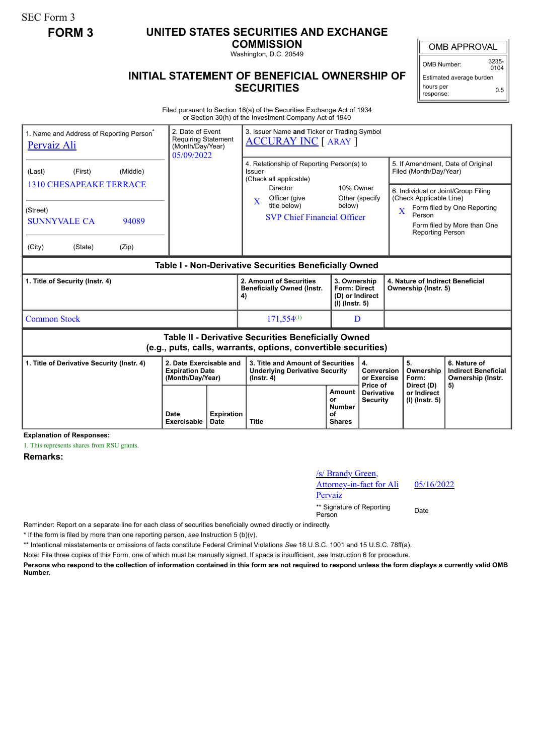SEC Form 3

## **FORM 3 UNITED STATES SECURITIES AND EXCHANGE**

**COMMISSION**

Washington, D.C. 20549

## **INITIAL STATEMENT OF BENEFICIAL OWNERSHIP OF SECURITIES**

OMB APPROVAL

OMB Number: 3235-  $0104$ 

Estimated average burden hours per response: 0.5

Filed pursuant to Section 16(a) of the Securities Exchange Act of 1934 or Section 30(h) of the Investment Company Act of 1940

| 1. Name and Address of Reporting Person<br><b>Pervaiz Ali</b>                                                         |                                                       |                | 2. Date of Event<br><b>Requiring Statement</b><br>(Month/Day/Year)<br>05/09/2022 |                                  | 3. Issuer Name and Ticker or Trading Symbol<br><b>ACCURAY INC</b> [ ARAY ]                     |                                                                            |                                                    |                                                                                                                                                                                              |                                                                 |  |
|-----------------------------------------------------------------------------------------------------------------------|-------------------------------------------------------|----------------|----------------------------------------------------------------------------------|----------------------------------|------------------------------------------------------------------------------------------------|----------------------------------------------------------------------------|----------------------------------------------------|----------------------------------------------------------------------------------------------------------------------------------------------------------------------------------------------|-----------------------------------------------------------------|--|
| (Last)                                                                                                                | (First)<br>(Middle)<br><b>1310 CHESAPEAKE TERRACE</b> |                |                                                                                  |                                  | 4. Relationship of Reporting Person(s) to<br>Issuer<br>(Check all applicable)<br>Director      | 10% Owner                                                                  |                                                    | 5. If Amendment, Date of Original<br>Filed (Month/Day/Year)                                                                                                                                  |                                                                 |  |
| (Street)<br><b>SUNNYVALE CA</b><br>(City)                                                                             | (State)                                               | 94089<br>(Zip) |                                                                                  |                                  | Officer (give<br>$\mathbf{X}$<br>title below)<br><b>SVP Chief Financial Officer</b>            | below)                                                                     | Other (specify                                     | 6. Individual or Joint/Group Filing<br>(Check Applicable Line)<br>Form filed by One Reporting<br>$\overline{\mathbf{X}}$<br>Person<br>Form filed by More than One<br><b>Reporting Person</b> |                                                                 |  |
| Table I - Non-Derivative Securities Beneficially Owned                                                                |                                                       |                |                                                                                  |                                  |                                                                                                |                                                                            |                                                    |                                                                                                                                                                                              |                                                                 |  |
| 1. Title of Security (Instr. 4)                                                                                       |                                                       |                |                                                                                  |                                  | 2. Amount of Securities<br><b>Beneficially Owned (Instr.</b><br>4)                             | 3. Ownership<br><b>Form: Direct</b><br>(D) or Indirect<br>$(I)$ (lnstr. 5) |                                                    | 4. Nature of Indirect Beneficial<br>Ownership (Instr. 5)                                                                                                                                     |                                                                 |  |
| <b>Common Stock</b>                                                                                                   |                                                       |                |                                                                                  |                                  | $171,554^{(1)}$                                                                                | D                                                                          |                                                    |                                                                                                                                                                                              |                                                                 |  |
| Table II - Derivative Securities Beneficially Owned<br>(e.g., puts, calls, warrants, options, convertible securities) |                                                       |                |                                                                                  |                                  |                                                                                                |                                                                            |                                                    |                                                                                                                                                                                              |                                                                 |  |
| 1. Title of Derivative Security (Instr. 4)                                                                            |                                                       |                | 2. Date Exercisable and<br><b>Expiration Date</b><br>(Month/Day/Year)            |                                  | 3. Title and Amount of Securities<br><b>Underlying Derivative Security</b><br>$($ lnstr. 4 $)$ |                                                                            | 4.<br><b>Conversion</b><br>or Exercise<br>Price of | 5.<br>Ownership<br>Form:                                                                                                                                                                     | 6. Nature of<br><b>Indirect Beneficial</b><br>Ownership (Instr. |  |
|                                                                                                                       |                                                       |                | Date<br><b>Exercisable</b>                                                       | <b>Expiration</b><br><b>Date</b> | <b>Title</b>                                                                                   | <b>Amount</b><br>or<br><b>Number</b><br>οf<br><b>Shares</b>                | <b>Derivative</b><br><b>Security</b>               | Direct (D)<br>or Indirect<br>$(I)$ (lnstr. 5)                                                                                                                                                | 5)                                                              |  |

**Explanation of Responses:**

1. This represents shares from RSU grants.

**Remarks:**

/s/ Brandy Green, Attorney-in-fact for Ali **Pervaiz** 05/16/2022 \*\* Signature of Reporting Person Date

Reminder: Report on a separate line for each class of securities beneficially owned directly or indirectly.

\* If the form is filed by more than one reporting person, *see* Instruction 5 (b)(v).

\*\* Intentional misstatements or omissions of facts constitute Federal Criminal Violations *See* 18 U.S.C. 1001 and 15 U.S.C. 78ff(a).

Note: File three copies of this Form, one of which must be manually signed. If space is insufficient, *see* Instruction 6 for procedure.

**Persons who respond to the collection of information contained in this form are not required to respond unless the form displays a currently valid OMB Number.**